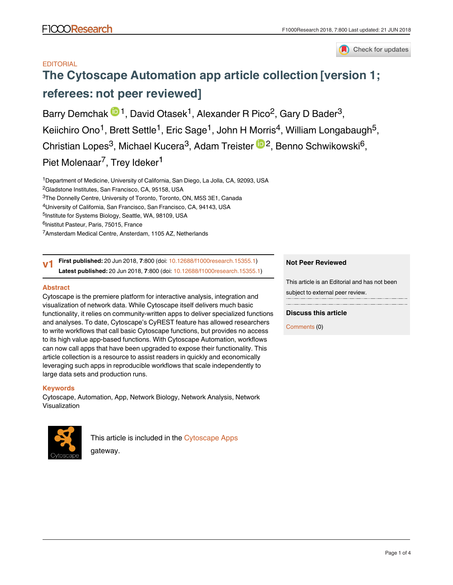

# **EDITORIAL**

# **[The Cytoscape Automation app article collection](https://f1000research.com/articles/7-800/v1) [version 1; referees: not peer reviewed]**

Barry Demchak  $\mathbb{D}^1$ , David Otasek<sup>1</sup>, Alexander R Pico<sup>2</sup>, Gary D Bader<sup>3</sup>, Keiichiro Ono<sup>1</sup>, Brett Settle<sup>1</sup>, Eric Sage<sup>1</sup>, John H Morris<sup>4</sup>, William Longabaugh<sup>5</sup>, Christian Lopes<sup>3</sup>, Michael Kucera<sup>3</sup>, Adam Treister <sup>in 2</sup>, Benno Schwikowski<sup>6</sup>, Piet Molenaar<sup>7</sup>, Trey Ideker<sup>1</sup>

<sup>1</sup>Department of Medicine, University of California, San Diego, La Jolla, CA, 92093, USA

<sup>2</sup>Gladstone Institutes, San Francisco, CA, 95158, USA

 ${}^{3}$ The Donnelly Centre, University of Toronto, Toronto, ON, M5S 3E1, Canada

<sup>4</sup>University of California, San Francisco, San Francisco, CA, 94143, USA

<sup>5</sup>Institute for Systems Biology, Seattle, WA, 98109, USA

<sup>6</sup>Inistitut Pasteur, Paris, 75015, France

<sup>7</sup>Amsterdam Medical Centre, Ansterdam, 1105 AZ, Netherlands

**First published:** 20 Jun 2018, **7**:800 (doi: [10.12688/f1000research.15355.1\)](http://dx.doi.org/10.12688/f1000research.15355.1) **Latest published:** 20 Jun 2018, **7**:800 (doi: [10.12688/f1000research.15355.1](http://dx.doi.org/10.12688/f1000research.15355.1)) **v1**

## **Abstract**

Cytoscape is the premiere platform for interactive analysis, integration and visualization of network data. While Cytoscape itself delivers much basic functionality, it relies on community-written apps to deliver specialized functions and analyses. To date, Cytoscape's CyREST feature has allowed researchers to write workflows that call basic Cytoscape functions, but provides no access to its high value app-based functions. With Cytoscape Automation, workflows can now call apps that have been upgraded to expose their functionality. This article collection is a resource to assist readers in quickly and economically leveraging such apps in reproducible workflows that scale independently to large data sets and production runs.

# **Keywords**

Cytoscape, Automation, App, Network Biology, Network Analysis, Network Visualization



This article is included in the [Cytoscape Apps](https://f1000research.com/gateways/cytoscapeapps) 

gateway.

## **Not Peer Reviewed**

This article is an Editorial and has not been subject to external peer review.

# **Discuss this article**

Comments (0)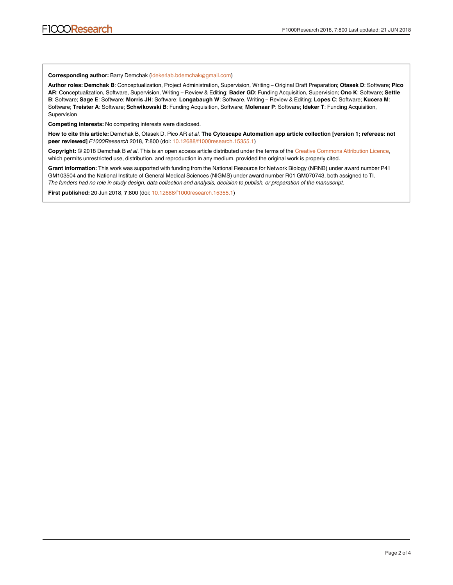**Corresponding author:** Barry Demchak (idekerlab.bdemchak@gmail.com)

**Author roles: Demchak B**: Conceptualization, Project Administration, Supervision, Writing – Original Draft Preparation; **Otasek D**: Software; **Pico AR**: Conceptualization, Software, Supervision, Writing – Review & Editing; **Bader GD**: Funding Acquisition, Supervision; **Ono K**: Software; **Settle B**: Software; **Sage E**: Software; **Morris JH**: Software; **Longabaugh W**: Software, Writing – Review & Editing; **Lopes C**: Software; **Kucera M**: Software; **Treister A**: Software; **Schwikowski B**: Funding Acquisition, Software; **Molenaar P**: Software; **Ideker T**: Funding Acquisition, Supervision

**Competing interests:** No competing interests were disclosed.

**How to cite this article:** Demchak B, Otasek D, Pico AR *et al.* **The Cytoscape Automation app article collection [version 1; referees: not peer reviewed]** *F1000Research* 2018, **7**:800 (doi: [10.12688/f1000research.15355.1\)](http://dx.doi.org/10.12688/f1000research.15355.1)

**Copyright:** © 2018 Demchak B *et al*. This is an open access article distributed under the terms of the [Creative Commons Attribution Licence,](http://creativecommons.org/licenses/by/4.0/) which permits unrestricted use, distribution, and reproduction in any medium, provided the original work is properly cited.

**Grant information:** This work was supported with funding from the National Resource for Network Biology (NRNB) under award number P41 GM103504 and the National Institute of General Medical Sciences (NIGMS) under award number R01 GM070743, both assigned to TI. *The funders had no role in study design, data collection and analysis, decision to publish, or preparation of the manuscript.*

**First published:** 20 Jun 2018, **7**:800 (doi: [10.12688/f1000research.15355.1](http://dx.doi.org/10.12688/f1000research.15355.1))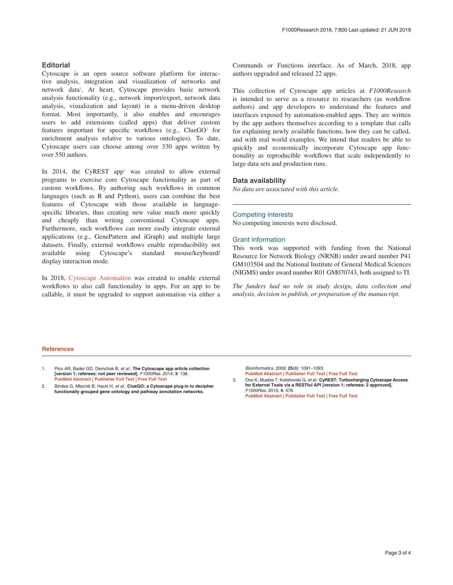## **Editorial**

Cytoscape is an open source software platform for interactive analysis, integration and visualization of networks and network data<sup>1</sup>. At heart, Cytoscape provides basic network analysis functionality (e.g., network import/export, network data analysis, visualization and layout) in a menu-driven desktop format. Most importantly, it also enables and encourages users to add extensions (called apps) that deliver custom features important for specific workflows (e.g.,  $C \leq C O^2$  for enrichment analysis relative to various ontologies). To date, Cytoscape users can choose among over 330 apps written by over 550 authors.

In 2014, the CyREST app<sup>3</sup> was created to allow external programs to exercise core Cytoscape functionality as part of custom workflows. By authoring such workflows in common languages (such as R and Python), users can combine the best features of Cytoscape with those available in languagespecific libraries, thus creating new value much more quickly and cheaply than writing conventional Cytoscape apps. Furthermore, such workflows can more easily integrate external applications (e.g., GenePattern and iGraph) and multiple large datasets. Finally, external workflows enable reproducibility not available using Cytoscape's standard mouse/keyboard/ display interaction mode.

In 2018, [Cytoscape Automation](https://github.com/cytoscape/cytoscape-automation) was created to enable external workflows to also call functionality in apps. For an app to be callable, it must be upgraded to support automation via either a

Commands or Functions interface. As of March, 2018, app authors upgraded and released 22 apps.

This collection of Cytoscape app articles at *F1000Research* is intended to serve as a resource to researchers (as workflow authors) and app developers to understand the features and interfaces exposed by automation-enabled apps. They are written by the app authors themselves according to a template that calls for explaining newly available functions, how they can be called, and with real world examples. We intend that readers be able to quickly and economically incorporate Cytoscape app functionality as reproducible workflows that scale independently to large data sets and production runs.

## **Data availability**

*No data are associated with this article.*

#### Competing interests

No competing interests were disclosed.

### Grant information

This work was supported with funding from the National Resource for Network Biology (NRNB) under award number P41 GM103504 and the National Institute of General Medical Sciences (NIGMS) under award number R01 GM070743, both assigned to TI.

*The funders had no role in study design, data collection and analysis, decision to publish, or preparation of the manuscript.*

#### **References**

- Pico AR, Bader GD, Demchak B, et al.: The Cytoscape app article collection **[version 1; referees: not peer reviewed].** F1000Res. 2014; **3**: 138. **[PubMed Abstract](http://www.ncbi.nlm.nih.gov/pubmed/25580224)** | **[Publisher Full Text](http://dx.doi.org/10.12688/f1000research.4642.1)** | **[Free Full Text](http://www.ncbi.nlm.nih.gov/pmc/articles/4288400)**
- 2. Bindea G, Mlecnik B, Hackl H, et al.: **ClueGO: a Cytoscape plug-in to decipher functionally grouped gene ontology and pathway annotation networks.**

Bioinformatics. 2009; **25**(8): 1091–1093. **[PubMed Abstract](http://www.ncbi.nlm.nih.gov/pubmed/19237447)** | **[Publisher Full Text](http://dx.doi.org/10.1093/bioinformatics/btp101)** | **[Free Full Text](http://www.ncbi.nlm.nih.gov/pmc/articles/2666812)**

3. Ono K, Muetze T, Kolishovski G, et al.: **CyREST: Turbocharging Cytoscape Access for External Tools via a RESTful API [version 1; referees: 2 approved].** F1000Res. 2015; **4**: 478. **[PubMed Abstract](http://www.ncbi.nlm.nih.gov/pubmed/26672762)** | **[Publisher Full Text](http://dx.doi.org/10.12688/f1000research.6767.1)** | **[Free Full Text](http://www.ncbi.nlm.nih.gov/pmc/articles/4670004)**